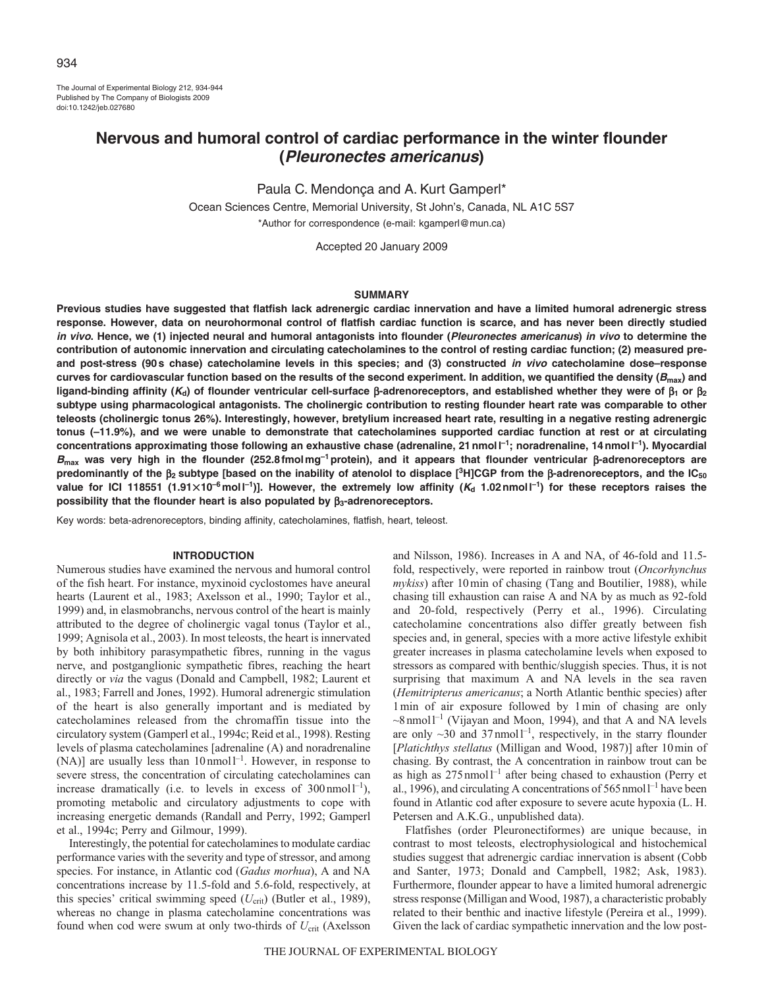The Journal of Experimental Biology 212, 934-944 Published by The Company of Biologists 2009 doi:10.1242/jeb.027680

# **Nervous and humoral control of cardiac performance in the winter flounder (Pleuronectes americanus)**

Paula C. Mendonça and A. Kurt Gamperl\*

Ocean Sciences Centre, Memorial University, St John's, Canada, NL A1C 5S7 \*Author for correspondence (e-mail: kgamperl@mun.ca)

Accepted 20 January 2009

#### **SUMMARY**

**Previous studies have suggested that flatfish lack adrenergic cardiac innervation and have a limited humoral adrenergic stress response. However, data on neurohormonal control of flatfish cardiac function is scarce, and has never been directly studied in vivo. Hence, we (1) injected neural and humoral antagonists into flounder (Pleuronectes americanus) in vivo to determine the contribution of autonomic innervation and circulating catecholamines to the control of resting cardiac function; (2) measured preand post-stress (90s chase) catecholamine levels in this species; and (3) constructed in vivo catecholamine dose–response curves for cardiovascular function based on the results of the second experiment. In addition, we quantified the density (Bmax) and ligand-binding affinity (Kd) of flounder ventricular cell-surface** β**-adrenoreceptors, and established whether they were of** β**<sup>1</sup> or** β**<sup>2</sup> subtype using pharmacological antagonists. The cholinergic contribution to resting flounder heart rate was comparable to other teleosts (cholinergic tonus 26%). Interestingly, however, bretylium increased heart rate, resulting in a negative resting adrenergic tonus (–11.9%), and we were unable to demonstrate that catecholamines supported cardiac function at rest or at circulating concentrations approximating those following an exhaustive chase (adrenaline, 21nmoll–1; noradrenaline, 14nmoll–1). Myocardial <sup>B</sup>max was very high in the flounder (252.8fmolmg–1protein), and it appears that flounder ventricular** β**-adrenoreceptors are predominantly of the** β**2 subtype [based on the inability of atenolol to displace [3H]CGP from the** β**-adrenoreceptors, and the IC50** value for ICI 118551 (1.91 $\times$ 10<sup>-6</sup>moll<sup>-1</sup>)]. However, the extremely low affinity (*K*<sub>d</sub> 1.02nmoll<sup>-1</sup>) for these receptors raises the **possibility that the flounder heart is also populated by** β**3-adrenoreceptors.**

Key words: beta-adrenoreceptors, binding affinity, catecholamines, flatfish, heart, teleost.

#### **INTRODUCTION**

Numerous studies have examined the nervous and humoral control of the fish heart. For instance, myxinoid cyclostomes have aneural hearts (Laurent et al., 1983; Axelsson et al., 1990; Taylor et al., 1999) and, in elasmobranchs, nervous control of the heart is mainly attributed to the degree of cholinergic vagal tonus (Taylor et al., 1999; Agnisola et al., 2003). In most teleosts, the heart is innervated by both inhibitory parasympathetic fibres, running in the vagus nerve, and postganglionic sympathetic fibres, reaching the heart directly or *via* the vagus (Donald and Campbell, 1982; Laurent et al., 1983; Farrell and Jones, 1992). Humoral adrenergic stimulation of the heart is also generally important and is mediated by catecholamines released from the chromaffin tissue into the circulatory system (Gamperl et al., 1994c; Reid et al., 1998). Resting levels of plasma catecholamines [adrenaline (A) and noradrenaline (NA)] are usually less than  $10 \text{ nmol}^{-1}$ . However, in response to severe stress, the concentration of circulating catecholamines can increase dramatically (i.e. to levels in excess of  $300 \text{ nmol}^{-1}$ ), promoting metabolic and circulatory adjustments to cope with increasing energetic demands (Randall and Perry, 1992; Gamperl et al., 1994c; Perry and Gilmour, 1999).

Interestingly, the potential for catecholamines to modulate cardiac performance varies with the severity and type of stressor, and among species. For instance, in Atlantic cod (*Gadus morhua*), A and NA concentrations increase by 11.5-fold and 5.6-fold, respectively, at this species' critical swimming speed  $(U_{\text{crit}})$  (Butler et al., 1989), whereas no change in plasma catecholamine concentrations was found when cod were swum at only two-thirds of  $U_{\text{crit}}$  (Axelsson and Nilsson, 1986). Increases in A and NA, of 46-fold and 11.5 fold, respectively, were reported in rainbow trout (*Oncorhynchus mykiss*) after 10min of chasing (Tang and Boutilier, 1988), while chasing till exhaustion can raise A and NA by as much as 92-fold and 20-fold, respectively (Perry et al., 1996). Circulating catecholamine concentrations also differ greatly between fish species and, in general, species with a more active lifestyle exhibit greater increases in plasma catecholamine levels when exposed to stressors as compared with benthic/sluggish species. Thus, it is not surprising that maximum A and NA levels in the sea raven (*Hemitripterus americanus*; a North Atlantic benthic species) after 1min of air exposure followed by 1min of chasing are only  $\sim$ 8nmol<sup>1-1</sup> (Vijayan and Moon, 1994), and that A and NA levels are only  $\sim$ 30 and 37 nmol<sup> $-1$ </sup>, respectively, in the starry flounder [*Platichthys stellatus* (Milligan and Wood, 1987)] after 10min of chasing. By contrast, the A concentration in rainbow trout can be as high as  $275$  nmol<sup>1-1</sup> after being chased to exhaustion (Perry et al., 1996), and circulating A concentrations of  $565$  nmoll<sup>-1</sup> have been found in Atlantic cod after exposure to severe acute hypoxia (L. H. Petersen and A.K.G., unpublished data).

Flatfishes (order Pleuronectiformes) are unique because, in contrast to most teleosts, electrophysiological and histochemical studies suggest that adrenergic cardiac innervation is absent (Cobb and Santer, 1973; Donald and Campbell, 1982; Ask, 1983). Furthermore, flounder appear to have a limited humoral adrenergic stress response (Milligan and Wood, 1987), a characteristic probably related to their benthic and inactive lifestyle (Pereira et al., 1999). Given the lack of cardiac sympathetic innervation and the low post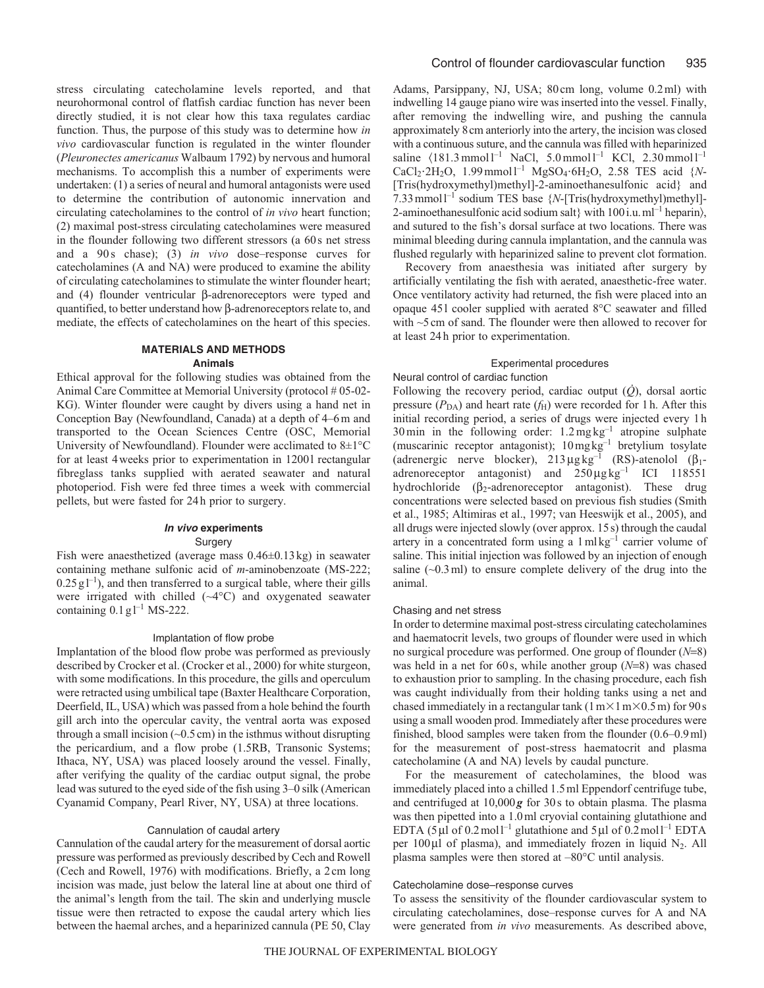stress circulating catecholamine levels reported, and that neurohormonal control of flatfish cardiac function has never been directly studied, it is not clear how this taxa regulates cardiac function. Thus, the purpose of this study was to determine how *in vivo* cardiovascular function is regulated in the winter flounder (*Pleuronectes americanus* Walbaum 1792) by nervous and humoral mechanisms. To accomplish this a number of experiments were undertaken: (1) a series of neural and humoral antagonists were used to determine the contribution of autonomic innervation and circulating catecholamines to the control of *in vivo* heart function; (2) maximal post-stress circulating catecholamines were measured in the flounder following two different stressors (a 60s net stress and a 90s chase); (3) *in vivo* dose–response curves for catecholamines (A and NA) were produced to examine the ability of circulating catecholamines to stimulate the winter flounder heart; and (4) flounder ventricular β-adrenoreceptors were typed and quantified, to better understand how β-adrenoreceptors relate to, and mediate, the effects of catecholamines on the heart of this species.

# **MATERIALS AND METHODS Animals**

Ethical approval for the following studies was obtained from the Animal Care Committee at Memorial University (protocol #05-02-KG). Winter flounder were caught by divers using a hand net in Conception Bay (Newfoundland, Canada) at a depth of 4–6m and transported to the Ocean Sciences Centre (OSC, Memorial University of Newfoundland). Flounder were acclimated to 8±1°C for at least 4weeks prior to experimentation in 1200l rectangular fibreglass tanks supplied with aerated seawater and natural photoperiod. Fish were fed three times a week with commercial pellets, but were fasted for 24h prior to surgery.

# **In vivo experiments** Surgery

Fish were anaesthetized (average mass 0.46±0.13kg) in seawater containing methane sulfonic acid of *m*-aminobenzoate (MS-222;  $0.25 \text{ g}^{-1}$ , and then transferred to a surgical table, where their gills were irrigated with chilled (~4°C) and oxygenated seawater containing  $0.1$  g<sub>l</sub><sup>-1</sup> MS-222.

### Implantation of flow probe

Implantation of the blood flow probe was performed as previously described by Crocker et al. (Crocker et al., 2000) for white sturgeon, with some modifications. In this procedure, the gills and operculum were retracted using umbilical tape (Baxter Healthcare Corporation, Deerfield, IL, USA) which was passed from a hole behind the fourth gill arch into the opercular cavity, the ventral aorta was exposed through a small incision  $(\sim 0.5 \text{ cm})$  in the isthmus without disrupting the pericardium, and a flow probe (1.5RB, Transonic Systems; Ithaca, NY, USA) was placed loosely around the vessel. Finally, after verifying the quality of the cardiac output signal, the probe lead was sutured to the eyed side of the fish using 3–0 silk (American Cyanamid Company, Pearl River, NY, USA) at three locations.

#### Cannulation of caudal artery

Cannulation of the caudal artery for the measurement of dorsal aortic pressure was performed as previously described by Cech and Rowell (Cech and Rowell, 1976) with modifications. Briefly, a 2cm long incision was made, just below the lateral line at about one third of the animal's length from the tail. The skin and underlying muscle tissue were then retracted to expose the caudal artery which lies between the haemal arches, and a heparinized cannula (PE 50, Clay Adams, Parsippany, NJ, USA; 80cm long, volume 0.2ml) with indwelling 14 gauge piano wire was inserted into the vessel. Finally, after removing the indwelling wire, and pushing the cannula approximately 8cm anteriorly into the artery, the incision was closed with a continuous suture, and the cannula was filled with heparinized saline  $\langle 181.3 \text{ mmol } l^{-1} \text{ NaCl}, 5.0 \text{ mmol } l^{-1} \text{ KCl}, 2.30 \text{ mmol } l^{-1}$  $CaCl_2·2H_2O$ , 1.99 mmol<sup>1-1</sup> MgSO<sub>4</sub>·6H<sub>2</sub>O, 2.58 TES acid {*N*-[Tris(hydroxymethyl)methyl]-2-aminoethanesulfonic acid} and 7.33mmoll–1 sodium TES base {*N*-[Tris(hydroxymethyl)methyl]- 2-aminoethanesulfonic acid sodium salt} with  $100$  i.u. ml<sup>-1</sup> heparin), and sutured to the fish's dorsal surface at two locations. There was minimal bleeding during cannula implantation, and the cannula was flushed regularly with heparinized saline to prevent clot formation.

Recovery from anaesthesia was initiated after surgery by artificially ventilating the fish with aerated, anaesthetic-free water. Once ventilatory activity had returned, the fish were placed into an opaque 45l cooler supplied with aerated 8°C seawater and filled with ~5cm of sand. The flounder were then allowed to recover for at least 24h prior to experimentation.

# Experimental procedures

#### Neural control of cardiac function

Following the recovery period, cardiac output (*Q*), dorsal aortic pressure  $(P_{DA})$  and heart rate  $(f_H)$  were recorded for 1h. After this initial recording period, a series of drugs were injected every 1h 30 min in the following order:  $1.2 \text{ mg}\,\text{kg}^{-1}$  atropine sulphate (muscarinic receptor antagonist);  $10 \text{ mg}\text{ kg}^{-1}$  bretylium tosylate (adrenergic nerve blocker),  $213 \mu g kg^{-1}$  (RS)-atenolol ( $\beta_1$ adrenoreceptor antagonist) and  $250 \mu g kg^{-1}$  ICI 118551 hydrochloride ( $\beta_2$ -adrenoreceptor antagonist). These drug concentrations were selected based on previous fish studies (Smith et al., 1985; Altimiras et al., 1997; van Heeswijk et al., 2005), and all drugs were injected slowly (over approx. 15s) through the caudal artery in a concentrated form using a  $1 \text{ mkg}^{-1}$  carrier volume of saline. This initial injection was followed by an injection of enough saline  $(\sim 0.3 \text{ ml})$  to ensure complete delivery of the drug into the animal.

#### Chasing and net stress

In order to determine maximal post-stress circulating catecholamines and haematocrit levels, two groups of flounder were used in which no surgical procedure was performed. One group of flounder (*N*=8) was held in a net for 60s, while another group (*N*=8) was chased to exhaustion prior to sampling. In the chasing procedure, each fish was caught individually from their holding tanks using a net and chased immediately in a rectangular tank  $(1 \text{ m} \times 1 \text{ m} \times 0.5 \text{ m})$  for 90 s using a small wooden prod. Immediately after these procedures were finished, blood samples were taken from the flounder (0.6–0.9ml) for the measurement of post-stress haematocrit and plasma catecholamine (A and NA) levels by caudal puncture.

For the measurement of catecholamines, the blood was immediately placed into a chilled 1.5ml Eppendorf centrifuge tube, and centrifuged at 10,000*g* for 30s to obtain plasma. The plasma was then pipetted into a 1.0ml cryovial containing glutathione and EDTA (5  $\mu$ l of 0.2 mol<sup>-1</sup> glutathione and 5  $\mu$ l of 0.2 mol<sup>-1</sup> EDTA per  $100 \mu$ l of plasma), and immediately frozen in liquid N<sub>2</sub>. All plasma samples were then stored at –80°C until analysis.

# Catecholamine dose–response curves

To assess the sensitivity of the flounder cardiovascular system to circulating catecholamines, dose–response curves for A and NA were generated from *in vivo* measurements. As described above,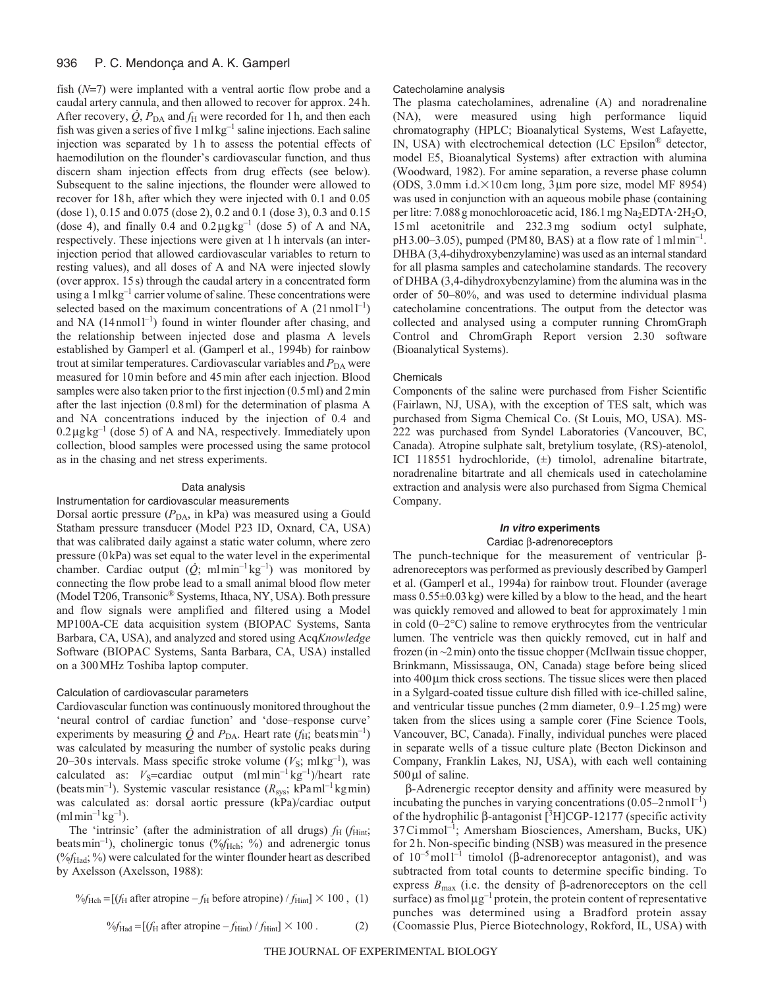fish (*N*=7) were implanted with a ventral aortic flow probe and a caudal artery cannula, and then allowed to recover for approx. 24h. After recovery,  $\dot{Q}$ ,  $P_{DA}$  and  $f_H$  were recorded for 1h, and then each fish was given a series of five  $1 \text{ ml kg}^{-1}$  saline injections. Each saline injection was separated by 1h to assess the potential effects of haemodilution on the flounder's cardiovascular function, and thus discern sham injection effects from drug effects (see below). Subsequent to the saline injections, the flounder were allowed to recover for 18h, after which they were injected with 0.1 and 0.05 (dose 1), 0.15 and 0.075 (dose 2), 0.2 and 0.1 (dose 3), 0.3 and 0.15 (dose 4), and finally 0.4 and  $0.2 \mu g kg^{-1}$  (dose 5) of A and NA, respectively. These injections were given at 1h intervals (an interinjection period that allowed cardiovascular variables to return to resting values), and all doses of A and NA were injected slowly (over approx. 15s) through the caudal artery in a concentrated form using a  $1$  ml kg<sup>-1</sup> carrier volume of saline. These concentrations were selected based on the maximum concentrations of A  $(21 \text{ nmol}^{-1})$ and NA  $(14$ nmol<sup>-1</sup>) found in winter flounder after chasing, and the relationship between injected dose and plasma A levels established by Gamperl et al. (Gamperl et al., 1994b) for rainbow trout at similar temperatures. Cardiovascular variables and  $P_{DA}$  were measured for 10min before and 45min after each injection. Blood samples were also taken prior to the first injection (0.5 ml) and 2 min after the last injection (0.8ml) for the determination of plasma A and NA concentrations induced by the injection of 0.4 and  $0.2 \mu g kg^{-1}$  (dose 5) of A and NA, respectively. Immediately upon collection, blood samples were processed using the same protocol as in the chasing and net stress experiments.

# Data analysis

# Instrumentation for cardiovascular measurements

Dorsal aortic pressure ( $P_{\text{DA}}$ , in kPa) was measured using a Gould Statham pressure transducer (Model P23 ID, Oxnard, CA, USA) that was calibrated daily against a static water column, where zero pressure (0kPa) was set equal to the water level in the experimental chamber. Cardiac output  $(\dot{Q}$ ; mlmin<sup>-1</sup> kg<sup>-1</sup>) was monitored by connecting the flow probe lead to a small animal blood flow meter (Model T206, Transonic® Systems, Ithaca, NY, USA). Both pressure and flow signals were amplified and filtered using a Model MP100A-CE data acquisition system (BIOPAC Systems, Santa Barbara, CA, USA), and analyzed and stored using Acq*Knowledge* Software (BIOPAC Systems, Santa Barbara, CA, USA) installed on a 300MHz Toshiba laptop computer.

#### Calculation of cardiovascular parameters

Cardiovascular function was continuously monitored throughout the 'neural control of cardiac function' and 'dose–response curve' experiments by measuring  $\dot{Q}$  and  $P_{DA}$ . Heart rate ( $f_H$ ; beats min<sup>-1</sup>) was calculated by measuring the number of systolic peaks during 20–30s intervals. Mass specific stroke volume  $(V<sub>S</sub>; mlkg<sup>-1</sup>)$ , was calculated as:  $V_S$ =cardiac output  $(ml \min^{-1} kg^{-1})/$ heart rate (beatsmin–1). Systemic vascular resistance (*R*sys; kPaml–1 kgmin) was calculated as: dorsal aortic pressure (kPa)/cardiac output  $(mlmin^{-1}kg^{-1})$ .

The 'intrinsic' (after the administration of all drugs)  $f_H$  ( $f_{Hint}$ ; beats min<sup>-1</sup>), cholinergic tonus (%f<sub>Hch</sub>; %) and adrenergic tonus (%*f*Had; %) were calculated for the winter flounder heart as described by Axelsson (Axelsson, 1988):

$$
\%f_{\text{Hch}} = [f_{\text{H}} \text{ after atropine} - f_{\text{H}} \text{ before atropine}) / f_{\text{Hint}} \times 100, (1)
$$

$$
\%f_{\text{Had}} = \left[ \left( f_{\text{H}} \text{ after atropine} - f_{\text{Hint}} \right) / f_{\text{Hint}} \right] \times 100 \,. \tag{2}
$$

#### Catecholamine analysis

The plasma catecholamines, adrenaline (A) and noradrenaline (NA), were measured using high performance liquid chromatography (HPLC; Bioanalytical Systems, West Lafayette, IN, USA) with electrochemical detection (LC Epsilon® detector, model E5, Bioanalytical Systems) after extraction with alumina (Woodward, 1982). For amine separation, a reverse phase column (ODS, 3.0 mm i.d. $\times$ 10 cm long,  $3 \mu$ m pore size, model MF 8954) was used in conjunction with an aqueous mobile phase (containing per litre: 7.088 g monochloroacetic acid, 186.1 mg Na<sub>2</sub>EDTA·2H<sub>2</sub>O, 15 ml acetonitrile and 232.3 mg sodium octyl sulphate,  $pH3.00-3.05$ ), pumped (PM80, BAS) at a flow rate of  $1 \text{ m} \text{ l} \text{ min}^{-1}$ . DHBA (3,4-dihydroxybenzylamine) was used as an internal standard for all plasma samples and catecholamine standards. The recovery of DHBA (3,4-dihydroxybenzylamine) from the alumina was in the order of 50–80%, and was used to determine individual plasma catecholamine concentrations. The output from the detector was collected and analysed using a computer running ChromGraph Control and ChromGraph Report version 2.30 software (Bioanalytical Systems).

#### Chemicals

Components of the saline were purchased from Fisher Scientific (Fairlawn, NJ, USA), with the exception of TES salt, which was purchased from Sigma Chemical Co. (St Louis, MO, USA). MS-222 was purchased from Syndel Laboratories (Vancouver, BC, Canada). Atropine sulphate salt, bretylium tosylate, (RS)-atenolol, ICI 118551 hydrochloride, (±) timolol, adrenaline bitartrate, noradrenaline bitartrate and all chemicals used in catecholamine extraction and analysis were also purchased from Sigma Chemical Company.

# **In vitro experiments** Cardiac β-adrenoreceptors

The punch-technique for the measurement of ventricular βadrenoreceptors was performed as previously described by Gamperl et al. (Gamperl et al., 1994a) for rainbow trout. Flounder (average mass 0.55±0.03kg) were killed by a blow to the head, and the heart was quickly removed and allowed to beat for approximately 1min in cold  $(0-2^{\circ}C)$  saline to remove erythrocytes from the ventricular lumen. The ventricle was then quickly removed, cut in half and frozen (in  $\sim$ 2min) onto the tissue chopper (McIlwain tissue chopper, Brinkmann, Mississauga, ON, Canada) stage before being sliced into 400μm thick cross sections. The tissue slices were then placed in a Sylgard-coated tissue culture dish filled with ice-chilled saline, and ventricular tissue punches (2mm diameter, 0.9–1.25mg) were taken from the slices using a sample corer (Fine Science Tools, Vancouver, BC, Canada). Finally, individual punches were placed in separate wells of a tissue culture plate (Becton Dickinson and Company, Franklin Lakes, NJ, USA), with each well containing 500μl of saline.

β-Adrenergic receptor density and affinity were measured by incubating the punches in varying concentrations  $(0.05-2$  nmoll<sup>-1</sup>) of the hydrophilic β-antagonist [<sup>3</sup>H]CGP-12177 (specific activity 37Cimmol–1; Amersham Biosciences, Amersham, Bucks, UK) for 2h. Non-specific binding (NSB) was measured in the presence of  $10^{-5}$  moll<sup>-1</sup> timolol (β-adrenoreceptor antagonist), and was subtracted from total counts to determine specific binding. To express  $B_{\text{max}}$  (i.e. the density of β-adrenoreceptors on the cell surface) as fmol $\mu$ g<sup>-1</sup> protein, the protein content of representative punches was determined using a Bradford protein assay (Coomassie Plus, Pierce Biotechnology, Rokford, IL, USA) with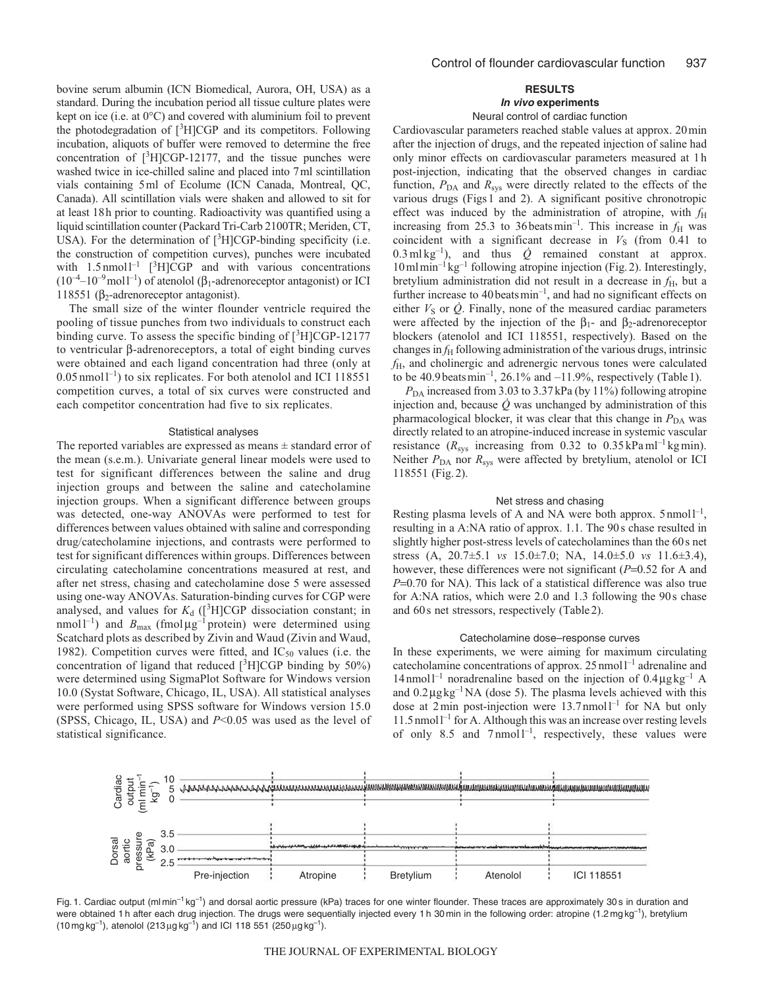bovine serum albumin (ICN Biomedical, Aurora, OH, USA) as a standard. During the incubation period all tissue culture plates were kept on ice (i.e. at 0°C) and covered with aluminium foil to prevent the photodegradation of  $[^3H]CGP$  and its competitors. Following incubation, aliquots of buffer were removed to determine the free concentration of [3 H]CGP-12177, and the tissue punches were washed twice in ice-chilled saline and placed into 7ml scintillation vials containing 5ml of Ecolume (ICN Canada, Montreal, QC, Canada). All scintillation vials were shaken and allowed to sit for at least 18h prior to counting. Radioactivity was quantified using a liquid scintillation counter (Packard Tri-Carb 2100TR; Meriden, CT, USA). For the determination of [<sup>3</sup>H]CGP-binding specificity (i.e. the construction of competition curves), punches were incubated with  $1.5 \text{ nmol}^{-1}$  [<sup>3</sup>H]CGP and with various concentrations  $(10^{-4}-10^{-9}$  moll<sup>-1</sup>) of atenolol ( $\beta_1$ -adrenoreceptor antagonist) or ICI 118551 ( $β<sub>2</sub>$ -adrenoreceptor antagonist).

The small size of the winter flounder ventricle required the pooling of tissue punches from two individuals to construct each binding curve. To assess the specific binding of  $[^{3}H]CGP-12177$ to ventricular β-adrenoreceptors, a total of eight binding curves were obtained and each ligand concentration had three (only at  $0.05$  nmoll<sup>-1</sup>) to six replicates. For both atenolol and ICI 118551 competition curves, a total of six curves were constructed and each competitor concentration had five to six replicates.

#### Statistical analyses

The reported variables are expressed as means  $\pm$  standard error of the mean (s.e.m.). Univariate general linear models were used to test for significant differences between the saline and drug injection groups and between the saline and catecholamine injection groups. When a significant difference between groups was detected, one-way ANOVAs were performed to test for differences between values obtained with saline and corresponding drug/catecholamine injections, and contrasts were performed to test for significant differences within groups. Differences between circulating catecholamine concentrations measured at rest, and after net stress, chasing and catecholamine dose 5 were assessed using one-way ANOVAs. Saturation-binding curves for CGP were analysed, and values for  $K_d$  ([<sup>3</sup>H]CGP dissociation constant; in nmol  $1^{-1}$ ) and  $B_{\text{max}}$  (fmol  $\mu g^{-1}$  protein) were determined using Scatchard plots as described by Zivin and Waud (Zivin and Waud, 1982). Competition curves were fitted, and  $IC_{50}$  values (i.e. the concentration of ligand that reduced  $[{}^{3}H]CGP$  binding by 50%) were determined using SigmaPlot Software for Windows version 10.0 (Systat Software, Chicago, IL, USA). All statistical analyses were performed using SPSS software for Windows version 15.0 (SPSS, Chicago, IL, USA) and *P*<0.05 was used as the level of statistical significance.

# **RESULTS**

# **In vivo experiments**

# Neural control of cardiac function

Cardiovascular parameters reached stable values at approx. 20min after the injection of drugs, and the repeated injection of saline had only minor effects on cardiovascular parameters measured at 1h post-injection, indicating that the observed changes in cardiac function,  $P_{DA}$  and  $R_{sys}$  were directly related to the effects of the various drugs (Figs1 and 2). A significant positive chronotropic effect was induced by the administration of atropine, with  $f_H$ increasing from 25.3 to 36 beats min<sup>-1</sup>. This increase in  $f<sub>H</sub>$  was coincident with a significant decrease in  $V<sub>S</sub>$  (from 0.41 to  $0.3 \text{ ml kg}^{-1}$ ), and thus  $\dot{Q}$  remained constant at approx.  $10$ ml $\text{min}^{-1}$  kg<sup>-1</sup> following atropine injection (Fig. 2). Interestingly, bretylium administration did not result in a decrease in *f*H, but a further increase to 40 beats min<sup>-1</sup>, and had no significant effects on either  $V<sub>S</sub>$  or  $\dot{Q}$ . Finally, none of the measured cardiac parameters were affected by the injection of the  $\beta_1$ - and  $\beta_2$ -adrenoreceptor blockers (atenolol and ICI 118551, respectively). Based on the changes in *f*H following administration of the various drugs, intrinsic *f*H, and cholinergic and adrenergic nervous tones were calculated to be 40.9 beats  $min^{-1}$ , 26.1% and  $-11.9$ %, respectively (Table 1).

 $P_{\text{DA}}$  increased from 3.03 to 3.37 kPa (by 11%) following atropine injection and, because  $\dot{Q}$  was unchanged by administration of this pharmacological blocker, it was clear that this change in  $P_{DA}$  was directly related to an atropine-induced increase in systemic vascular resistance ( $R_{sys}$  increasing from 0.32 to 0.35 kPa ml<sup>-1</sup> kg min). Neither *P*<sub>DA</sub> nor *R*<sub>sys</sub> were affected by bretylium, atenolol or ICI 118551 (Fig.2).

# Net stress and chasing

Resting plasma levels of A and NA were both approx.  $5 \text{ nmol } l^{-1}$ , resulting in a A:NA ratio of approx. 1.1. The 90s chase resulted in slightly higher post-stress levels of catecholamines than the 60s net stress (A, 20.7±5.1 *vs* 15.0±7.0; NA, 14.0±5.0 *vs* 11.6±3.4), however, these differences were not significant (*P*=0.52 for A and *P*=0.70 for NA). This lack of a statistical difference was also true for A:NA ratios, which were 2.0 and 1.3 following the 90s chase and 60s net stressors, respectively (Table2).

### Catecholamine dose–response curves

In these experiments, we were aiming for maximum circulating catecholamine concentrations of approx.  $25$  nmoll<sup>-1</sup> adrenaline and  $14$ nmol $1^{-1}$  noradrenaline based on the injection of  $0.4 \mu g kg^{-1}$  A and 0.2μgkg–1NA (dose 5). The plasma levels achieved with this dose at  $2 \text{min}$  post-injection were  $13.7 \text{mmol}^{-1}$  for NA but only  $11.5$  nmol<sup> $1$ </sup> for A. Although this was an increase over resting levels of only 8.5 and 7 nmol<sup> $-1$ </sup>, respectively, these values were



Fig. 1. Cardiac output (mlmin<sup>-1</sup> kg<sup>-1</sup>) and dorsal aortic pressure (kPa) traces for one winter flounder. These traces are approximately 30 s in duration and were obtained 1 h after each drug injection. The drugs were sequentially injected every 1 h 30 min in the following order: atropine (1.2 mg kg<sup>-1</sup>), bretylium  $(10 \text{ mg kg}^{-1})$ , atenolol  $(213 \mu g kg^{-1})$  and ICI 118 551  $(250 \mu g kg^{-1})$ .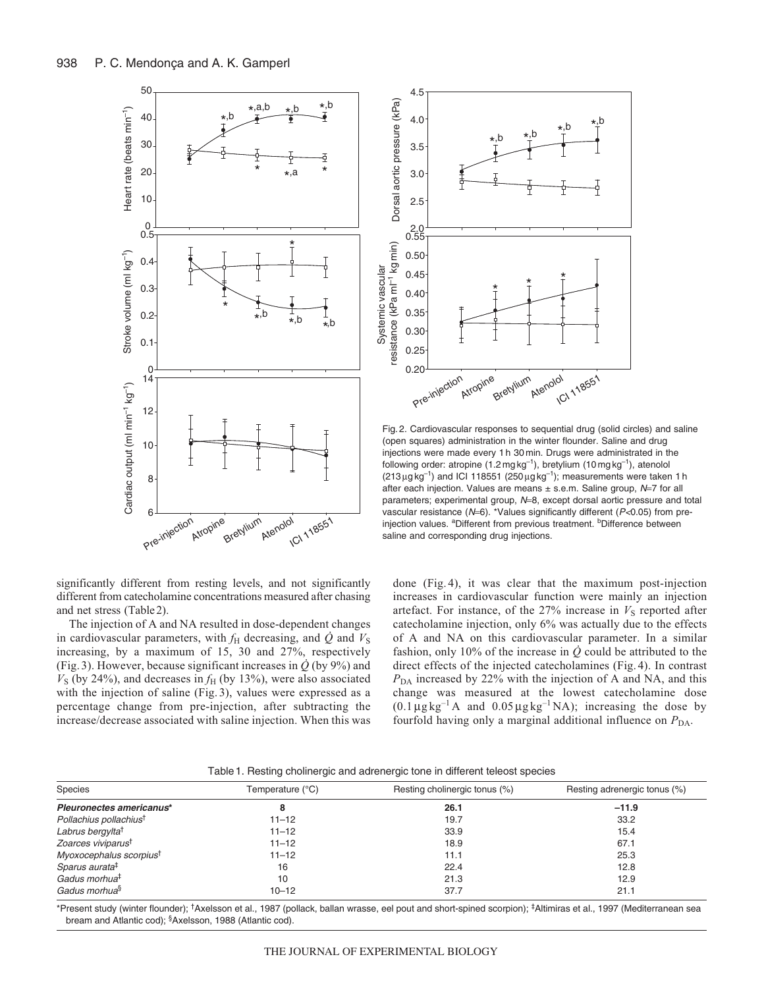



Fig. 2. Cardiovascular responses to sequential drug (solid circles) and saline (open squares) administration in the winter flounder. Saline and drug injections were made every 1 h 30 min. Drugs were administrated in the following order: atropine  $(1.2 \text{ mg kg}^{-1})$ , bretylium  $(10 \text{ mg kg}^{-1})$ , atenolol  $(213 \mu g kg^{-1})$  and ICI 118551  $(250 \mu g kg^{-1})$ ; measurements were taken 1 h after each injection. Values are means  $\pm$  s.e.m. Saline group,  $N=7$  for all parameters; experimental group, N=8, except dorsal aortic pressure and total vascular resistance (N=6). \*Values significantly different (P<0.05) from preinjection values. <sup>a</sup>Different from previous treatment. <sup>b</sup>Difference between saline and corresponding drug injections.

significantly different from resting levels, and not significantly different from catecholamine concentrations measured after chasing and net stress (Table2).

The injection of A and NA resulted in dose-dependent changes in cardiovascular parameters, with  $f_{\rm H}$  decreasing, and  $\dot{Q}$  and  $V_{\rm S}$ increasing, by a maximum of 15, 30 and 27%, respectively (Fig. 3). However, because significant increases in  $\dot{Q}$  (by 9%) and  $V<sub>S</sub>$  (by 24%), and decreases in  $f<sub>H</sub>$  (by 13%), were also associated with the injection of saline (Fig.3), values were expressed as a percentage change from pre-injection, after subtracting the increase/decrease associated with saline injection. When this was done (Fig. 4), it was clear that the maximum post-injection increases in cardiovascular function were mainly an injection artefact. For instance, of the  $27\%$  increase in  $V<sub>S</sub>$  reported after catecholamine injection, only 6% was actually due to the effects of A and NA on this cardiovascular parameter. In a similar fashion, only 10% of the increase in  $\dot{Q}$  could be attributed to the direct effects of the injected catecholamines (Fig.4). In contrast *P*<sub>DA</sub> increased by 22% with the injection of A and NA, and this change was measured at the lowest catecholamine dose  $(0.1 \mu g kg^{-1} A$  and  $0.05 \mu g kg^{-1} NA)$ ; increasing the dose by fourfold having only a marginal additional influence on  $P_{DA}$ .

|  | Table 1. Resting cholinergic and adrenergic tone in different teleost species |  |  |  |
|--|-------------------------------------------------------------------------------|--|--|--|
|  |                                                                               |  |  |  |

| Species                             | Temperature (°C) | Resting cholinergic tonus (%) | Resting adrenergic tonus (%) |
|-------------------------------------|------------------|-------------------------------|------------------------------|
| Pleuronectes americanus*            |                  | 26.1                          | $-11.9$                      |
| Pollachius pollachius <sup>t</sup>  | $11 - 12$        | 19.7                          | 33.2                         |
| Labrus bergylta <sup>†</sup>        | $11 - 12$        | 33.9                          | 15.4                         |
| Zoarces viviparus <sup>t</sup>      | $11 - 12$        | 18.9                          | 67.1                         |
| Myoxocephalus scorpius <sup>t</sup> | $11 - 12$        | 11.1                          | 25.3                         |
| Sparus aurata <sup>‡</sup>          | 16               | 22.4                          | 12.8                         |
| Gadus morhua <sup>‡</sup>           | 10               | 21.3                          | 12.9                         |
| Gadus morhua <sup>§</sup>           | $10 - 12$        | 37.7                          | 21.1                         |

\*Present study (winter flounder); †Axelsson et al., 1987 (pollack, ballan wrasse, eel pout and short-spined scorpion); ‡Altimiras et al., 1997 (Mediterranean sea bream and Atlantic cod); §Axelsson, 1988 (Atlantic cod).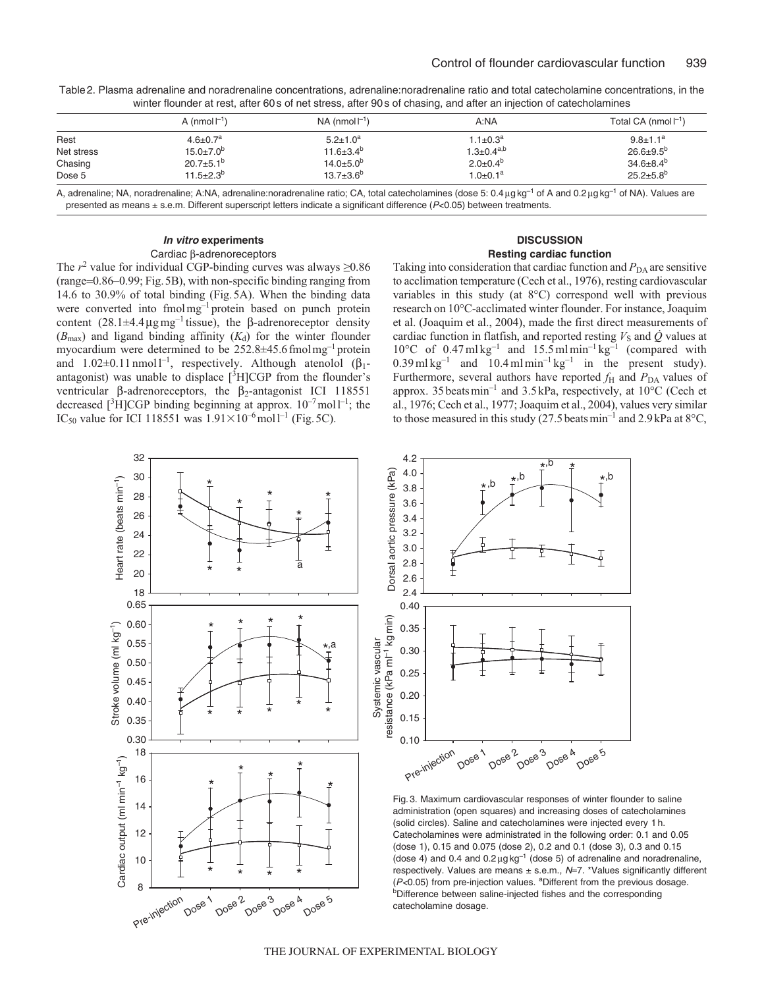| $1.1 \pm 0.3^a$            | $9.8 \pm 1.1^a$  |
|----------------------------|------------------|
|                            |                  |
| $1.3 \pm 0.4^{a,b}$        | $26.6 \pm 9.5^b$ |
| $2.0+0.4^{b}$              | $34.6 \pm 8.4^b$ |
| $1.0 \pm 0.1$ <sup>a</sup> | $25.2 + 5.8^{b}$ |
|                            |                  |

Table2. Plasma adrenaline and noradrenaline concentrations, adrenaline:noradrenaline ratio and total catecholamine concentrations, in the winter flounder at rest, after 60s of net stress, after 90s of chasing, and after an injection of catecholamines

A, adrenaline; NA, noradrenaline; A:NA, adrenaline:noradrenaline ratio; CA, total catecholamines (dose 5: 0.4 µg kg<sup>-1</sup> of A and 0.2 µg kg<sup>-1</sup> of NA). Values are presented as means ± s.e.m. Different superscript letters indicate a significant difference (P<0.05) between treatments.

# **In vitro experiments** Cardiac β-adrenoreceptors

# **DISCUSSION Resting cardiac function**

The  $r^2$  value for individual CGP-binding curves was always  $\geq 0.86$ (range=0.86–0.99; Fig.5B), with non-specific binding ranging from 14.6 to 30.9% of total binding (Fig.5A). When the binding data were converted into fmolmg<sup>-1</sup> protein based on punch protein content  $(28.1 \pm 4.4 \,\mu g \,\text{mg}^{-1})$  tissue), the β-adrenoreceptor density  $(B_{\text{max}})$  and ligand binding affinity  $(K_d)$  for the winter flounder myocardium were determined to be 252.8±45.6fmolmg–1 protein and  $1.02\pm0.11$  nmol<sup>1-1</sup>, respectively. Although atenolol ( $\beta_1$ antagonist) was unable to displace  $[{}^{3}H]CGP$  from the flounder's ventricular β-adrenoreceptors, the  $β_2$ -antagonist ICI 118551 decreased  $[{}^{3}H]CGP$  binding beginning at approx.  $10^{-7}$  mol $1^{-1}$ ; the IC<sub>50</sub> value for ICI 118551 was  $1.91 \times 10^{-6}$  moll<sup>-1</sup> (Fig. 5C).

Taking into consideration that cardiac function and  $P_{DA}$  are sensitive to acclimation temperature (Cech et al., 1976), resting cardiovascular variables in this study (at 8°C) correspond well with previous research on 10°C-acclimated winter flounder. For instance, Joaquim et al. (Joaquim et al., 2004), made the first direct measurements of cardiac function in flatfish, and reported resting  $V<sub>S</sub>$  and  $\dot{Q}$  values at  $10^{\circ}$ C of 0.47 ml kg<sup>-1</sup> and  $15.5$  ml min<sup>-1</sup> kg<sup>-1</sup> (compared with  $0.39 \text{ m}$ l kg<sup>-1</sup> and  $10.4 \text{ m}$ l min<sup>-1</sup> kg<sup>-1</sup> in the present study). Furthermore, several authors have reported  $f_H$  and  $P_{DA}$  values of approx. 35beatsmin–1 and 3.5kPa, respectively, at 10°C (Cech et al., 1976; Cech et al., 1977; Joaquim et al., 2004), values very similar to those measured in this study (27.5 beats min<sup>-1</sup> and 2.9 kPa at  $8^{\circ}$ C,





Fig. 3. Maximum cardiovascular responses of winter flounder to saline administration (open squares) and increasing doses of catecholamines (solid circles). Saline and catecholamines were injected every 1 h. Catecholamines were administrated in the following order: 0.1 and 0.05 (dose 1), 0.15 and 0.075 (dose 2), 0.2 and 0.1 (dose 3), 0.3 and 0.15 (dose 4) and 0.4 and  $0.2 \mu g kg^{-1}$  (dose 5) of adrenaline and noradrenaline, respectively. Values are means ± s.e.m., N=7. \*Values significantly different  $(P<0.05)$  from pre-injection values. <sup>a</sup>Different from the previous dosage. bDifference between saline-injected fishes and the corresponding catecholamine dosage.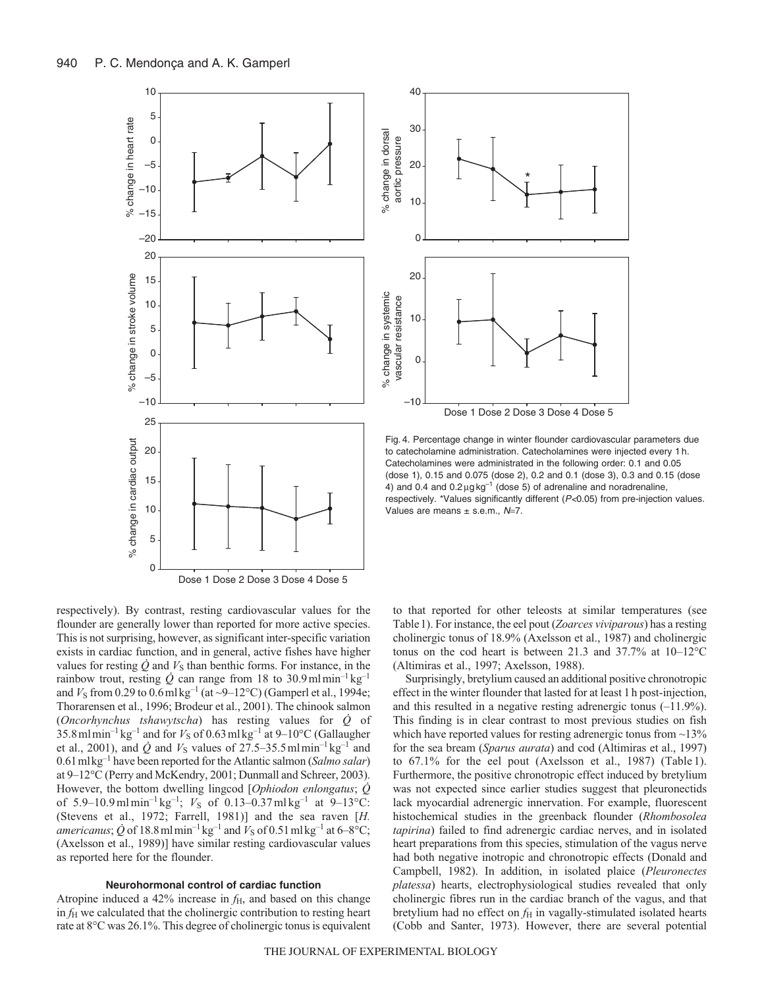

30 % change in dorsal % change in dorsal aortic pressure aortic pressure 20 \* 10  $\overline{0}$ 20 % change in systemic % change in systemic vascular resistance vascular resistance 10 0  $-10$ 

40

Dose 1 Dose 2 Dose 3 Dose 4 Dose 5

Fig. 4. Percentage change in winter flounder cardiovascular parameters due to catecholamine administration. Catecholamines were injected every 1 h. Catecholamines were administrated in the following order: 0.1 and 0.05 (dose 1), 0.15 and 0.075 (dose 2), 0.2 and 0.1 (dose 3), 0.3 and 0.15 (dose 4) and 0.4 and  $0.2 \mu g kg^{-1}$  (dose 5) of adrenaline and noradrenaline, respectively. \*Values significantly different (P<0.05) from pre-injection values. Values are means  $\pm$  s.e.m.,  $N=7$ .

respectively). By contrast, resting cardiovascular values for the flounder are generally lower than reported for more active species. This is not surprising, however, as significant inter-specific variation exists in cardiac function, and in general, active fishes have higher values for resting  $\dot{Q}$  and  $V_{S}$  than benthic forms. For instance, in the rainbow trout, resting  $\dot{Q}$  can range from 18 to 30.9mlmin<sup>-1</sup> kg<sup>-1</sup> and  $V_S$  from 0.29 to 0.6 ml kg<sup>-1</sup> (at  $\sim$ 9–12°C) (Gamperl et al., 1994e; Thorarensen et al., 1996; Brodeur et al., 2001). The chinook salmon (*Oncorhynchus tshawytscha*) has resting values for *Q* of  $35.8$  ml min<sup>-1</sup> kg<sup>-1</sup> and for  $V_S$  of 0.63 ml kg<sup>-1</sup> at 9–10°C (Gallaugher et al., 2001), and  $\dot{Q}$  and  $V_S$  values of 27.5–35.5 mlmin<sup>-1</sup> kg<sup>-1</sup> and 0.61mlkg–1 have been reported for the Atlantic salmon (*Salmo salar*) at 9–12°C (Perry and McKendry, 2001; Dunmall and Schreer, 2003). However, the bottom dwelling lingcod [*Ophiodon enlongatus*; *Q* of 5.9–10.9 ml min<sup>-1</sup> kg<sup>-1</sup>;  $V_S$  of 0.13–0.37 ml kg<sup>-1</sup> at 9–13°C: (Stevens et al., 1972; Farrell, 1981)] and the sea raven [*H. americanus*;  $\dot{Q}$  of 18.8 mlmin<sup>-1</sup> kg<sup>-1</sup> and  $V_S$  of 0.51 ml kg<sup>-1</sup> at 6–8°C; (Axelsson et al., 1989)] have similar resting cardiovascular values as reported here for the flounder.

# **Neurohormonal control of cardiac function**

Atropine induced a  $42\%$  increase in  $f_H$ , and based on this change in *f*<sup>H</sup> we calculated that the cholinergic contribution to resting heart rate at 8°C was 26.1%. This degree of cholinergic tonus is equivalent to that reported for other teleosts at similar temperatures (see Table1). For instance, the eel pout (*Zoarces viviparous*) has a resting cholinergic tonus of 18.9% (Axelsson et al., 1987) and cholinergic tonus on the cod heart is between 21.3 and 37.7% at 10–12°C (Altimiras et al., 1997; Axelsson, 1988).

Surprisingly, bretylium caused an additional positive chronotropic effect in the winter flounder that lasted for at least 1h post-injection, and this resulted in a negative resting adrenergic tonus (–11.9%). This finding is in clear contrast to most previous studies on fish which have reported values for resting adrenergic tonus from  $\sim$ 13% for the sea bream (*Sparus aurata*) and cod (Altimiras et al., 1997) to 67.1% for the eel pout (Axelsson et al., 1987) (Table 1). Furthermore, the positive chronotropic effect induced by bretylium was not expected since earlier studies suggest that pleuronectids lack myocardial adrenergic innervation. For example, fluorescent histochemical studies in the greenback flounder (*Rhombosolea tapirina*) failed to find adrenergic cardiac nerves, and in isolated heart preparations from this species, stimulation of the vagus nerve had both negative inotropic and chronotropic effects (Donald and Campbell, 1982). In addition, in isolated plaice (*Pleuronectes platessa*) hearts, electrophysiological studies revealed that only cholinergic fibres run in the cardiac branch of the vagus, and that bretylium had no effect on  $f<sub>H</sub>$  in vagally-stimulated isolated hearts (Cobb and Santer, 1973). However, there are several potential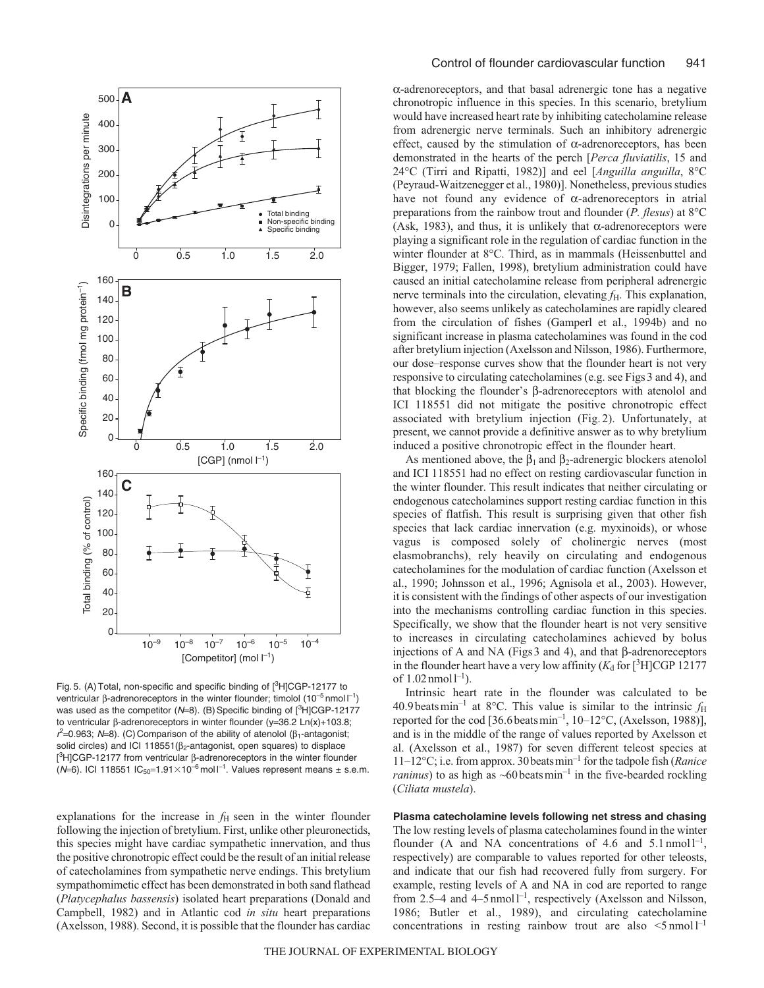

Fig. 5. (A) Total, non-specific and specific binding of [3H]CGP-12177 to ventricular β-adrenoreceptors in the winter flounder; timolol  $(10^{-5}$  nmol  $I^{-1}$ ) was used as the competitor ( $N=8$ ). (B) Specific binding of  $[^{3}H]CGP-12177$ to ventricular β-adrenoreceptors in winter flounder (y=36.2 Ln(x)+103.8;  $r^2$ =0.963; N=8). (C) Comparison of the ability of atenolol ( $\beta_1$ -antagonist; solid circles) and ICI 118551( $\beta$ <sub>2</sub>-antagonist, open squares) to displace [<sup>3</sup>H]CGP-12177 from ventricular β-adrenoreceptors in the winter flounder (N=6). ICI 118551 IC<sub>50</sub>=1.91×10<sup>-6</sup> moll<sup>-1</sup>. Values represent means ± s.e.m.

explanations for the increase in  $f<sub>H</sub>$  seen in the winter flounder following the injection of bretylium. First, unlike other pleuronectids, this species might have cardiac sympathetic innervation, and thus the positive chronotropic effect could be the result of an initial release of catecholamines from sympathetic nerve endings. This bretylium sympathomimetic effect has been demonstrated in both sand flathead (*Platycephalus bassensis*) isolated heart preparations (Donald and Campbell, 1982) and in Atlantic cod *in situ* heart preparations (Axelsson, 1988). Second, it is possible that the flounder has cardiac α-adrenoreceptors, and that basal adrenergic tone has a negative chronotropic influence in this species. In this scenario, bretylium would have increased heart rate by inhibiting catecholamine release from adrenergic nerve terminals. Such an inhibitory adrenergic effect, caused by the stimulation of  $\alpha$ -adrenoreceptors, has been demonstrated in the hearts of the perch [*Perca fluviatilis*, 15 and 24°C (Tirri and Ripatti, 1982)] and eel [*Anguilla anguilla*, 8°C (Peyraud-Waitzenegger et al., 1980)]. Nonetheless, previous studies have not found any evidence of α-adrenoreceptors in atrial preparations from the rainbow trout and flounder (*P. flesus*) at 8°C (Ask, 1983), and thus, it is unlikely that  $\alpha$ -adrenoreceptors were playing a significant role in the regulation of cardiac function in the winter flounder at 8°C. Third, as in mammals (Heissenbuttel and Bigger, 1979; Fallen, 1998), bretylium administration could have caused an initial catecholamine release from peripheral adrenergic nerve terminals into the circulation, elevating *f*<sub>H</sub>. This explanation, however, also seems unlikely as catecholamines are rapidly cleared from the circulation of fishes (Gamperl et al., 1994b) and no significant increase in plasma catecholamines was found in the cod after bretylium injection (Axelsson and Nilsson, 1986). Furthermore, our dose–response curves show that the flounder heart is not very responsive to circulating catecholamines (e.g. see Figs 3 and 4), and that blocking the flounder's β-adrenoreceptors with atenolol and ICI 118551 did not mitigate the positive chronotropic effect associated with bretylium injection (Fig. 2). Unfortunately, at present, we cannot provide a definitive answer as to why bretylium induced a positive chronotropic effect in the flounder heart.

As mentioned above, the  $\beta_1$  and  $\beta_2$ -adrenergic blockers atenolol and ICI 118551 had no effect on resting cardiovascular function in the winter flounder. This result indicates that neither circulating or endogenous catecholamines support resting cardiac function in this species of flatfish. This result is surprising given that other fish species that lack cardiac innervation (e.g. myxinoids), or whose vagus is composed solely of cholinergic nerves (most elasmobranchs), rely heavily on circulating and endogenous catecholamines for the modulation of cardiac function (Axelsson et al., 1990; Johnsson et al., 1996; Agnisola et al., 2003). However, it is consistent with the findings of other aspects of our investigation into the mechanisms controlling cardiac function in this species. Specifically, we show that the flounder heart is not very sensitive to increases in circulating catecholamines achieved by bolus injections of A and NA (Figs 3 and 4), and that β-adrenoreceptors in the flounder heart have a very low affinity  $(K_d$  for  $[^3H]CGP 12177$ of  $1.02$  nmol $1^{-1}$ ).

Intrinsic heart rate in the flounder was calculated to be 40.9 beats min<sup>-1</sup> at 8°C. This value is similar to the intrinsic  $f_H$ reported for the cod  $[36.6 \text{ beats min}^{-1}, 10-12 \text{°C}, (\text{Axelsson}, 1988)],$ and is in the middle of the range of values reported by Axelsson et al. (Axelsson et al., 1987) for seven different teleost species at 11–12°C; i.e. from approx. 30beatsmin–1 for the tadpole fish (*Ranice raninus*) to as high as  $\sim 60$  beats min<sup>-1</sup> in the five-bearded rockling (*Ciliata mustela*).

**Plasma catecholamine levels following net stress and chasing** The low resting levels of plasma catecholamines found in the winter flounder (A and NA concentrations of 4.6 and 5.1 nmol  $1^{-1}$ , respectively) are comparable to values reported for other teleosts, and indicate that our fish had recovered fully from surgery. For example, resting levels of A and NA in cod are reported to range from 2.5–4 and 4–5 nmol<sup> $-1$ </sup>, respectively (Axelsson and Nilsson, 1986; Butler et al., 1989), and circulating catecholamine concentrations in resting rainbow trout are also  $\leq 5 \text{ nmol} 1^{-1}$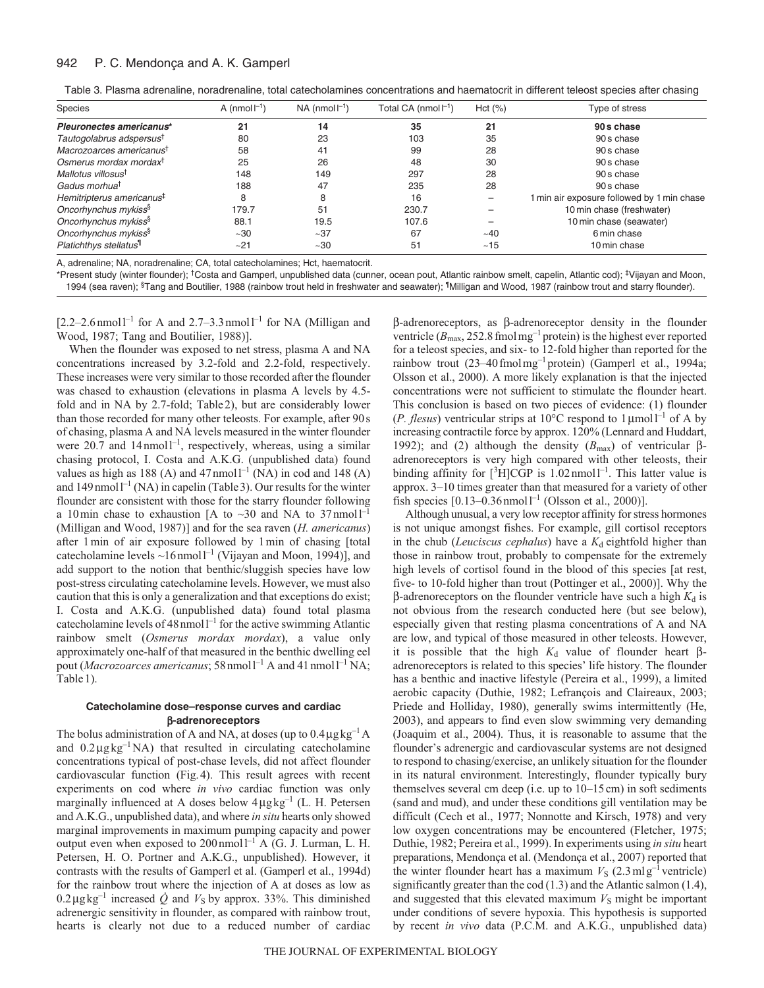#### 942 P. C. Mendonça and A. K. Gamperl

| Table 3. Plasma adrenaline, noradrenaline, total catecholamines concentrations and haematocrit in different teleost species after chasing |  |  |  |  |
|-------------------------------------------------------------------------------------------------------------------------------------------|--|--|--|--|
|                                                                                                                                           |  |  |  |  |

| <b>Species</b>                        | A (nmol $\vert^{-1}$ ) | $NA$ (nmol $I^{-1}$ ) | Total CA (nmol $\vert^{-1}$ ) | Hct (%)   | Type of stress                             |  |
|---------------------------------------|------------------------|-----------------------|-------------------------------|-----------|--------------------------------------------|--|
| Pleuronectes americanus*              | 21                     | 14                    | 35                            | 21        | 90s chase                                  |  |
| Tautogolabrus adspersus <sup>t</sup>  | 80                     | 23                    | 103                           | 35        | 90 s chase                                 |  |
| Macrozoarces americanus <sup>t</sup>  | 58                     | 41                    | 99                            | 28        | 90 s chase                                 |  |
| Osmerus mordax mordax <sup>t</sup>    | 25                     | 26                    | 48                            | 30        | 90 s chase                                 |  |
| Mallotus villosus <sup>t</sup>        | 148                    | 149                   | 297                           | 28        | 90 s chase                                 |  |
| Gadus morhua <sup>t</sup>             | 188                    | 47                    | 235                           | 28        | 90 s chase                                 |  |
| Hemitripterus americanus <sup>#</sup> | 8                      | 8                     | 16                            |           | 1 min air exposure followed by 1 min chase |  |
| Oncorhynchus mykiss <sup>§</sup>      | 179.7                  | 51                    | 230.7                         |           | 10 min chase (freshwater)                  |  |
| Oncorhynchus mykiss <sup>§</sup>      | 88.1                   | 19.5                  | 107.6                         |           | 10 min chase (seawater)                    |  |
| Oncorhynchus mykiss <sup>§</sup>      | ~10                    | ~237                  | 67                            | $~1 - 40$ | 6 min chase                                |  |
| Platichthys stellatus <sup>11</sup>   | ~21                    | $~10^{-1}$            | 51                            | ~15       | 10 min chase                               |  |

A, adrenaline; NA, noradrenaline; CA, total catecholamines; Hct, haematocrit.

\*Present study (winter flounder); †Costa and Gamperl, unpublished data (cunner, ocean pout, Atlantic rainbow smelt, capelin, Atlantic cod); ‡Vijayan and Moon, 1994 (sea raven); <sup>§</sup>Tang and Boutilier, 1988 (rainbow trout held in freshwater and seawater); <sup>¶</sup>Milligan and Wood, 1987 (rainbow trout and starry flounder).

 $[2.2-2.6$ nmoll<sup>-1</sup> for A and 2.7-3.3 nmoll<sup>-1</sup> for NA (Milligan and Wood, 1987; Tang and Boutilier, 1988)].

When the flounder was exposed to net stress, plasma A and NA concentrations increased by 3.2-fold and 2.2-fold, respectively. These increases were very similar to those recorded after the flounder was chased to exhaustion (elevations in plasma A levels by 4.5 fold and in NA by 2.7-fold; Table2), but are considerably lower than those recorded for many other teleosts. For example, after 90s of chasing, plasma A and NA levels measured in the winter flounder were 20.7 and 14 nmol<sup>1-1</sup>, respectively, whereas, using a similar chasing protocol, I. Costa and A.K.G. (unpublished data) found values as high as 188 (A) and  $47$  nmoll<sup>-1</sup> (NA) in cod and 148 (A) and  $149$  nmol  $1^{-1}$  (NA) in capelin (Table 3). Our results for the winter flounder are consistent with those for the starry flounder following a 10 min chase to exhaustion [A to  $\sim$ 30 and NA to 37 nmoll<sup>-1</sup> (Milligan and Wood, 1987)] and for the sea raven (*H. americanus*) after 1min of air exposure followed by 1min of chasing [total catecholamine levels  $\sim$ 16nmol<sup>1-1</sup> (Vijayan and Moon, 1994)], and add support to the notion that benthic/sluggish species have low post-stress circulating catecholamine levels. However, we must also caution that this is only a generalization and that exceptions do exist; I. Costa and A.K.G. (unpublished data) found total plasma catecholamine levels of  $48$  nmoll<sup>-1</sup> for the active swimming Atlantic rainbow smelt (*Osmerus mordax mordax*), a value only approximately one-half of that measured in the benthic dwelling eel pout (*Macrozoarces americanus*; 58 nmol<sup>1-1</sup> A and 41 nmol<sup>1-1</sup> NA; Table 1).

# **Catecholamine dose–response curves and cardiac** β**-adrenoreceptors**

The bolus administration of A and NA, at doses (up to  $0.4 \mu g kg^{-1} A$ and  $0.2 \mu g kg^{-1} N A$ ) that resulted in circulating catecholamine concentrations typical of post-chase levels, did not affect flounder cardiovascular function (Fig.4). This result agrees with recent experiments on cod where *in vivo* cardiac function was only marginally influenced at A doses below  $4\mu g kg^{-1}$  (L. H. Petersen and A.K.G., unpublished data), and where *in situ* hearts only showed marginal improvements in maximum pumping capacity and power output even when exposed to  $200 \text{ nmol}^{-1}$  A (G. J. Lurman, L. H. Petersen, H. O. Portner and A.K.G., unpublished). However, it contrasts with the results of Gamperl et al. (Gamperl et al., 1994d) for the rainbow trout where the injection of A at doses as low as  $0.2 \mu g kg^{-1}$  increased  $\dot{Q}$  and  $V_S$  by approx. 33%. This diminished adrenergic sensitivity in flounder, as compared with rainbow trout, hearts is clearly not due to a reduced number of cardiac β-adrenoreceptors, as β-adrenoreceptor density in the flounder ventricle ( $B_{\text{max}}$ , 252.8 fmolmg<sup>-1</sup> protein) is the highest ever reported for a teleost species, and six- to 12-fold higher than reported for the rainbow trout (23–40fmolmg–1 protein) (Gamperl et al., 1994a; Olsson et al., 2000). A more likely explanation is that the injected concentrations were not sufficient to stimulate the flounder heart. This conclusion is based on two pieces of evidence: (1) flounder (*P. flesus*) ventricular strips at 10<sup>o</sup>C respond to 1 $\mu$ mol<sup>-1</sup> of A by increasing contractile force by approx. 120% (Lennard and Huddart, 1992); and (2) although the density ( $B<sub>max</sub>$ ) of ventricular βadrenoreceptors is very high compared with other teleosts, their binding affinity for  $[^{3}H]CGP$  is 1.02 nmol<sup>-1</sup>. This latter value is approx. 3–10 times greater than that measured for a variety of other fish species  $[0.13-0.36$  nmoll<sup>-1</sup> (Olsson et al., 2000)].

Although unusual, a very low receptor affinity for stress hormones is not unique amongst fishes. For example, gill cortisol receptors in the chub (*Leuciscus cephalus*) have a  $K_d$  eightfold higher than those in rainbow trout, probably to compensate for the extremely high levels of cortisol found in the blood of this species [at rest, five- to 10-fold higher than trout (Pottinger et al., 2000)]. Why the β-adrenoreceptors on the flounder ventricle have such a high  $K_d$  is not obvious from the research conducted here (but see below), especially given that resting plasma concentrations of A and NA are low, and typical of those measured in other teleosts. However, it is possible that the high  $K_d$  value of flounder heart  $\beta$ adrenoreceptors is related to this species' life history. The flounder has a benthic and inactive lifestyle (Pereira et al., 1999), a limited aerobic capacity (Duthie, 1982; Lefrançois and Claireaux, 2003; Priede and Holliday, 1980), generally swims intermittently (He, 2003), and appears to find even slow swimming very demanding (Joaquim et al., 2004). Thus, it is reasonable to assume that the flounder's adrenergic and cardiovascular systems are not designed to respond to chasing/exercise, an unlikely situation for the flounder in its natural environment. Interestingly, flounder typically bury themselves several cm deep (i.e. up to  $10-15$  cm) in soft sediments (sand and mud), and under these conditions gill ventilation may be difficult (Cech et al., 1977; Nonnotte and Kirsch, 1978) and very low oxygen concentrations may be encountered (Fletcher, 1975; Duthie, 1982; Pereira et al., 1999). In experiments using *in situ* heart preparations, Mendonça et al. (Mendonça et al., 2007) reported that the winter flounder heart has a maximum  $V_S$  (2.3 ml g<sup>-1</sup> ventricle) significantly greater than the cod (1.3) and the Atlantic salmon (1.4), and suggested that this elevated maximum  $V<sub>S</sub>$  might be important under conditions of severe hypoxia. This hypothesis is supported by recent *in vivo* data (P.C.M. and A.K.G., unpublished data)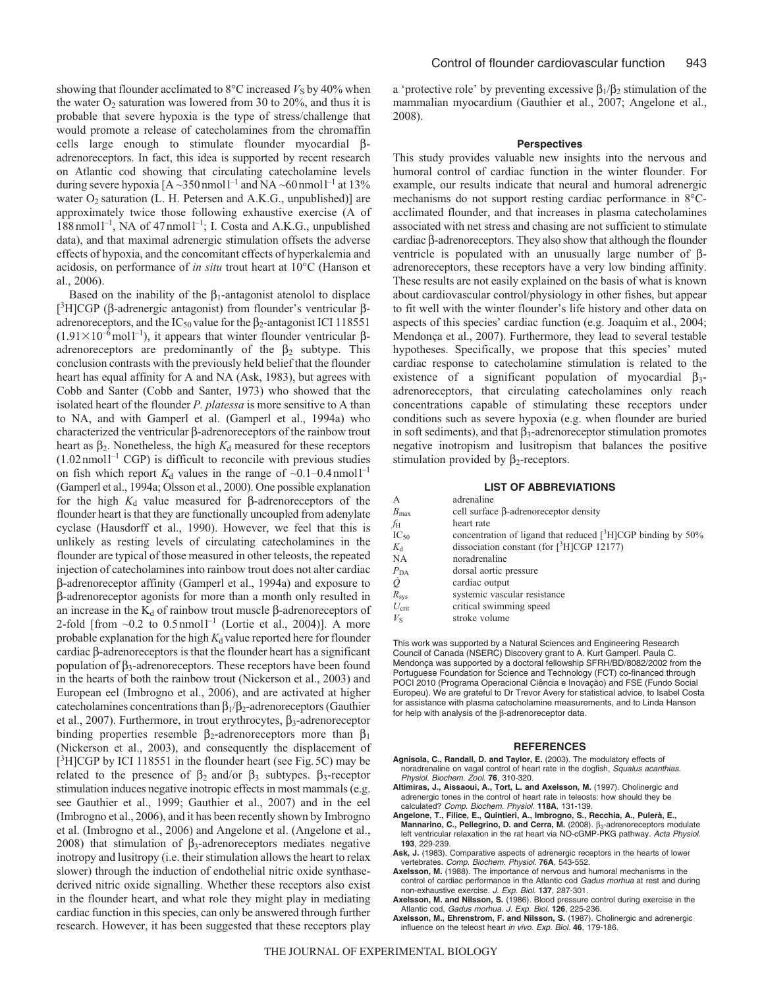showing that flounder acclimated to  $8^{\circ}$ C increased  $V_S$  by 40% when the water  $O_2$  saturation was lowered from 30 to 20%, and thus it is probable that severe hypoxia is the type of stress/challenge that would promote a release of catecholamines from the chromaffin cells large enough to stimulate flounder myocardial βadrenoreceptors. In fact, this idea is supported by recent research on Atlantic cod showing that circulating catecholamine levels during severe hypoxia  $[A - 350$  nmol  $I^{-1}$  and NA ~60 nmol  $I^{-1}$  at 13% water  $O_2$  saturation (L. H. Petersen and A.K.G., unpublished)] are approximately twice those following exhaustive exercise (A of  $188$ nmoll<sup>-1</sup>, NA of 47 nmoll<sup>-1</sup>; I. Costa and A.K.G., unpublished data), and that maximal adrenergic stimulation offsets the adverse effects of hypoxia, and the concomitant effects of hyperkalemia and acidosis, on performance of *in situ* trout heart at 10°C (Hanson et al., 2006).

Based on the inability of the  $\beta_1$ -antagonist atenolol to displace [<sup>3</sup>H]CGP (β-adrenergic antagonist) from flounder's ventricular βadrenoreceptors, and the IC<sub>50</sub> value for the  $\beta_2$ -antagonist ICI 118551  $(1.91 \times 10^{-6} \text{mol}^{-1})$ , it appears that winter flounder ventricular  $\beta$ adrenoreceptors are predominantly of the  $\beta_2$  subtype. This conclusion contrasts with the previously held belief that the flounder heart has equal affinity for A and NA (Ask, 1983), but agrees with Cobb and Santer (Cobb and Santer, 1973) who showed that the isolated heart of the flounder *P. platessa* is more sensitive to A than to NA, and with Gamperl et al. (Gamperl et al., 1994a) who characterized the ventricular β-adrenoreceptors of the rainbow trout heart as  $β<sub>2</sub>$ . Nonetheless, the high  $K<sub>d</sub>$  measured for these receptors  $(1.02 \text{ nmol1}^{-1} \text{ CGP})$  is difficult to reconcile with previous studies on fish which report  $K_d$  values in the range of  $\sim 0.1 - 0.4$  nmoll<sup>-1</sup> (Gamperl et al., 1994a; Olsson et al., 2000). One possible explanation for the high *K*<sup>d</sup> value measured for β-adrenoreceptors of the flounder heart is that they are functionally uncoupled from adenylate cyclase (Hausdorff et al., 1990). However, we feel that this is unlikely as resting levels of circulating catecholamines in the flounder are typical of those measured in other teleosts, the repeated injection of catecholamines into rainbow trout does not alter cardiac β-adrenoreceptor affinity (Gamperl et al., 1994a) and exposure to β-adrenoreceptor agonists for more than a month only resulted in an increase in the  $K_d$  of rainbow trout muscle β-adrenoreceptors of 2-fold [from  $\sim 0.2$  to  $0.5$  nmol<sup>1-1</sup> (Lortie et al., 2004)]. A more probable explanation for the high  $K_d$  value reported here for flounder cardiac β-adrenoreceptors is that the flounder heart has a significant population of  $β_3$ -adrenoreceptors. These receptors have been found in the hearts of both the rainbow trout (Nickerson et al., 2003) and European eel (Imbrogno et al., 2006), and are activated at higher catecholamines concentrations than  $\beta_1/\beta_2$ -adrenoreceptors (Gauthier et al., 2007). Furthermore, in trout erythrocytes,  $β_3$ -adrenoreceptor binding properties resemble  $β_2$ -adrenoreceptors more than  $β_1$ (Nickerson et al., 2003), and consequently the displacement of [<sup>3</sup>H]CGP by ICI 118551 in the flounder heart (see Fig. 5C) may be related to the presence of  $β_2$  and/or  $β_3$  subtypes.  $β_3$ -receptor stimulation induces negative inotropic effects in most mammals (e.g. see Gauthier et al., 1999; Gauthier et al., 2007) and in the eel (Imbrogno et al., 2006), and it has been recently shown by Imbrogno et al. (Imbrogno et al., 2006) and Angelone et al. (Angelone et al., 2008) that stimulation of  $\beta_3$ -adrenoreceptors mediates negative inotropy and lusitropy (i.e. their stimulation allows the heart to relax slower) through the induction of endothelial nitric oxide synthasederived nitric oxide signalling. Whether these receptors also exist in the flounder heart, and what role they might play in mediating cardiac function in this species, can only be answered through further research. However, it has been suggested that these receptors play a 'protective role' by preventing excessive  $\beta_1/\beta_2$  stimulation of the mammalian myocardium (Gauthier et al., 2007; Angelone et al., 2008).

#### **Perspectives**

This study provides valuable new insights into the nervous and humoral control of cardiac function in the winter flounder. For example, our results indicate that neural and humoral adrenergic mechanisms do not support resting cardiac performance in 8°Cacclimated flounder, and that increases in plasma catecholamines associated with net stress and chasing are not sufficient to stimulate cardiac β-adrenoreceptors. They also show that although the flounder ventricle is populated with an unusually large number of βadrenoreceptors, these receptors have a very low binding affinity. These results are not easily explained on the basis of what is known about cardiovascular control/physiology in other fishes, but appear to fit well with the winter flounder's life history and other data on aspects of this species' cardiac function (e.g. Joaquim et al., 2004; Mendonça et al., 2007). Furthermore, they lead to several testable hypotheses. Specifically, we propose that this species' muted cardiac response to catecholamine stimulation is related to the existence of a significant population of myocardial  $\beta_3$ adrenoreceptors, that circulating catecholamines only reach concentrations capable of stimulating these receptors under conditions such as severe hypoxia (e.g. when flounder are buried in soft sediments), and that  $\beta_3$ -adrenoreceptor stimulation promotes negative inotropism and lusitropism that balances the positive stimulation provided by  $β_2$ -receptors.

# **LIST OF ABBREVIATIONS**

| $\mathsf{A}$     | adrenaline                                                               |
|------------------|--------------------------------------------------------------------------|
| $B_{\text{max}}$ | cell surface β-adrenoreceptor density                                    |
| fн               | heart rate                                                               |
| $IC_{50}$        | concentration of ligand that reduced [ <sup>3</sup> H]CGP binding by 50% |
| $K_{d}$          | dissociation constant (for $\lceil \frac{3}{1} \rceil \text{CGP}$ 12177) |
| NA               | noradrenaline                                                            |
| $P_{\rm DA}$     | dorsal aortic pressure                                                   |
| $\overline{Q}$   | cardiac output                                                           |
| $R_{\rm sys}$    | systemic vascular resistance                                             |
| $U_{\rm crit}$   | critical swimming speed                                                  |
| $V_{\rm S}$      | stroke volume                                                            |
|                  |                                                                          |

This work was supported by a Natural Sciences and Engineering Research Council of Canada (NSERC) Discovery grant to A. Kurt Gamperl. Paula C. Mendonça was supported by a doctoral fellowship SFRH/BD/8082/2002 from the Portuguese Foundation for Science and Technology (FCT) co-financed through POCI 2010 (Programa Operacional Ciência e Inovação) and FSE (Fundo Social Europeu). We are grateful to Dr Trevor Avery for statistical advice, to Isabel Costa for assistance with plasma catecholamine measurements, and to Linda Hanson for help with analysis of the β-adrenoreceptor data.

#### **REFERENCES**

- **Agnisola, C., Randall, D. and Taylor, E.** (2003). The modulatory effects of noradrenaline on vagal control of heart rate in the dogfish, Squalus acanthias. Physiol. Biochem. Zool. **76**, 310-320.
- **Altimiras, J., Aissaoui, A., Tort, L. and Axelsson, M.** (1997). Cholinergic and adrenergic tones in the control of heart rate in teleosts: how should they be calculated? Comp. Biochem. Physiol. **118A**, 131-139.
- **Angelone, T., Filice, E., Quintieri, A., Imbrogno, S., Recchia, A., Pulerà, E., Mannarino, C., Pellegrino, D. and Cerra, M.** (2008). β<sub>3</sub>-adrenoreceptors modulate left ventricular relaxation in the rat heart via NO-cGMP-PKG pathway. Acta Physiol. **193**, 229-239.
- **Ask, J.** (1983). Comparative aspects of adrenergic receptors in the hearts of lower vertebrates. Comp. Biochem. Physiol. **76A**, 543-552.
- **Axelsson, M.** (1988). The importance of nervous and humoral mechanisms in the control of cardiac performance in the Atlantic cod Gadus morhua at rest and during non-exhaustive exercise. J. Exp. Biol. **137**, 287-301.
- **Axelsson, M. and Nilsson, S.** (1986). Blood pressure control during exercise in the Atlantic cod, Gadus morhua. J. Exp. Biol. **126**, 225-236.
- **Axelsson, M., Ehrenstrom, F. and Nilsson, S.** (1987). Cholinergic and adrenergic influence on the teleost heart in vivo. Exp. Biol. **46**, 179-186.